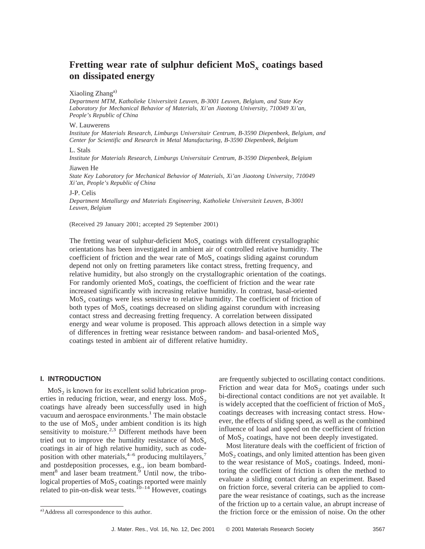# **Fretting wear rate of sulphur deficient MoS***<sup>x</sup>* **coatings based on dissipated energy**

#### Xiaoling Zhang<sup>a)</sup>

*Department MTM, Katholieke Universiteit Leuven, B-3001 Leuven, Belgium, and State Key Laboratory for Mechanical Behavior of Materials, Xi'an Jiaotong University, 710049 Xi'an, People's Republic of China*

# W. Lauwerens

*Institute for Materials Research, Limburgs Universitair Centrum, B-3590 Diepenbeek, Belgium, and Center for Scientific and Research in Metal Manufacturing, B-3590 Diepenbeek, Belgium*

## L. Stals

*Institute for Materials Research, Limburgs Universitair Centrum, B-3590 Diepenbeek, Belgium*

#### Jiawen He

*State Key Laboratory for Mechanical Behavior of Materials, Xi'an Jiaotong University, 710049 Xi'an, People's Republic of China*

#### J-P. Celis

*Department Metallurgy and Materials Engineering, Katholieke Universiteit Leuven, B-3001 Leuven, Belgium*

(Received 29 January 2001; accepted 29 September 2001)

The fretting wear of sulphur-deficient MoS*<sup>x</sup>* coatings with different crystallographic orientations has been investigated in ambient air of controlled relative humidity. The coefficient of friction and the wear rate of  $MoS<sub>x</sub>$  coatings sliding against corundum depend not only on fretting parameters like contact stress, fretting frequency, and relative humidity, but also strongly on the crystallographic orientation of the coatings. For randomly oriented MoS*<sup>x</sup>* coatings, the coefficient of friction and the wear rate increased significantly with increasing relative humidity. In contrast, basal-oriented MoS*<sup>x</sup>* coatings were less sensitive to relative humidity. The coefficient of friction of both types of MoS*<sup>x</sup>* coatings decreased on sliding against corundum with increasing contact stress and decreasing fretting frequency. A correlation between dissipated energy and wear volume is proposed. This approach allows detection in a simple way of differences in fretting wear resistance between random- and basal-oriented MoS*<sup>x</sup>* coatings tested in ambient air of different relative humidity.

# **I. INTRODUCTION**

 $MoS<sub>2</sub>$  is known for its excellent solid lubrication properties in reducing friction, wear, and energy loss.  $MoS<sub>2</sub>$ coatings have already been successfully used in high vacuum and aerospace environments.<sup>1</sup> The main obstacle to the use of  $MoS<sub>2</sub>$  under ambient condition is its high sensitivity to moisture.<sup>2,3</sup> Different methods have been tried out to improve the humidity resistance of MoS*<sup>x</sup>* coatings in air of high relative humidity, such as codeposition with other materials,<sup>4–6</sup> producing multilayers,<sup>7</sup> and postdeposition processes, e.g., ion beam bombardment $^8$  and laser beam treatment.<sup>9</sup> Until now, the tribological properties of  $MoS<sub>2</sub>$  coatings reported were mainly related to pin-on-disk wear tests.<sup>10-14</sup> However, coatings

are frequently subjected to oscillating contact conditions. Friction and wear data for  $MoS<sub>2</sub>$  coatings under such bi-directional contact conditions are not yet available. It is widely accepted that the coefficient of friction of  $MoS<sub>2</sub>$ coatings decreases with increasing contact stress. However, the effects of sliding speed, as well as the combined influence of load and speed on the coefficient of friction of  $MoS<sub>2</sub>$  coatings, have not been deeply investigated.

Most literature deals with the coefficient of friction of  $MoS<sub>2</sub> coatings, and only limited attention has been given$ to the wear resistance of  $MoS<sub>2</sub>$  coatings. Indeed, monitoring the coefficient of friction is often the method to evaluate a sliding contact during an experiment. Based on friction force, several criteria can be applied to compare the wear resistance of coatings, such as the increase of the friction up to a certain value, an abrupt increase of <sup>a)</sup>Address all correspondence to this author. the friction force or the emission of noise. On the other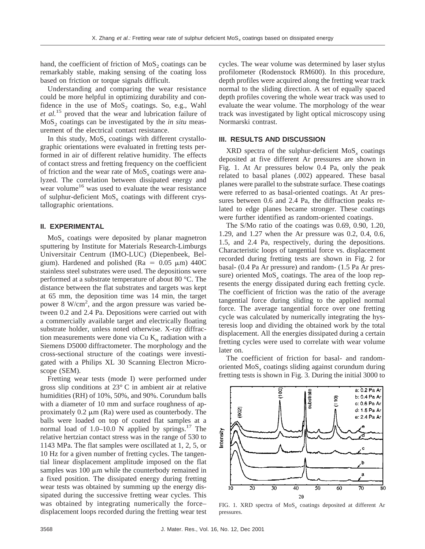hand, the coefficient of friction of  $MoS<sub>2</sub>$  coatings can be remarkably stable, making sensing of the coating loss based on friction or torque signals difficult.

Understanding and comparing the wear resistance could be more helpful in optimizing durability and confidence in the use of  $MoS<sub>2</sub>$  coatings. So, e.g., Wahl *et al.*<sup>15</sup> proved that the wear and lubrication failure of MoS<sub>2</sub> coatings can be investigated by the *in situ* measurement of the electrical contact resistance.

In this study,  $MoS<sub>x</sub>$  coatings with different crystallographic orientations were evaluated in fretting tests performed in air of different relative humidity. The effects of contact stress and fretting frequency on the coefficient of friction and the wear rate of MoS*<sup>x</sup>* coatings were analyzed. The correlation between dissipated energy and wear volume<sup>16</sup> was used to evaluate the wear resistance of sulphur-deficient MoS*<sup>x</sup>* coatings with different crystallographic orientations.

## **II. EXPERIMENTAL**

 $MoS<sub>x</sub>$  coatings were deposited by planar magnetron sputtering by Institute for Materials Research-Limburgs Universitair Centrum (IMO-LUC) (Diepenbeek, Belgium). Hardened and polished ( $Ra = 0.05 \mu m$ ) 440C stainless steel substrates were used. The depositions were performed at a substrate temperature of about 80 °C. The distance between the flat substrates and targets was kept at 65 mm, the deposition time was 14 min, the target power 8 W/cm<sup>2</sup>, and the argon pressure was varied between 0.2 and 2.4 Pa. Depositions were carried out with a commercially available target and electrically floating substrate holder, unless noted otherwise. X-ray diffraction measurements were done via Cu  $K_{\alpha}$  radiation with a Siemens D5000 diffractometer. The morphology and the cross-sectional structure of the coatings were investigated with a Philips XL 30 Scanning Electron Microscope (SEM).

Fretting wear tests (mode I) were performed under gross slip conditions at 23° C in ambient air at relative humidities (RH) of 10%, 50%, and 90%. Corundum balls with a diameter of 10 mm and surface roughness of approximately  $0.2 \mu m$  (Ra) were used as counterbody. The balls were loaded on top of coated flat samples at a normal load of  $1.0-10.0$  N applied by springs.<sup>17</sup> The relative hertzian contact stress was in the range of 530 to 1143 MPa. The flat samples were oscillated at 1, 2, 5, or 10 Hz for a given number of fretting cycles. The tangential linear displacement amplitude imposed on the flat samples was  $100 \mu m$  while the counterbody remained in a fixed position. The dissipated energy during fretting wear tests was obtained by summing up the energy dissipated during the successive fretting wear cycles. This was obtained by integrating numerically the force– displacement loops recorded during the fretting wear test

cycles. The wear volume was determined by laser stylus profilometer (Rodenstock RM600). In this procedure, depth profiles were acquired along the fretting wear track normal to the sliding direction. A set of equally spaced depth profiles covering the whole wear track was used to evaluate the wear volume. The morphology of the wear track was investigated by light optical microscopy using Normarski contrast.

# **III. RESULTS AND DISCUSSION**

 $XRD$  spectra of the sulphur-deficient  $MoS<sub>x</sub>$  coatings deposited at five different Ar pressures are shown in Fig. 1. At Ar pressures below 0.4 Pa, only the peak related to basal planes (.002) appeared. These basal planes were parallel to the substrate surface. These coatings were referred to as basal-oriented coatings. At Ar pressures between 0.6 and 2.4 Pa, the diffraction peaks related to edge planes became stronger. These coatings were further identified as random-oriented coatings.

The S/Mo ratio of the coatings was 0.69, 0.90, 1.20, 1.29, and 1.27 when the Ar pressure was 0.2, 0.4, 0.6, 1.5, and 2.4 Pa, respectively, during the depositions. Characteristic loops of tangential force vs. displacement recorded during fretting tests are shown in Fig. 2 for basal- (0.4 Pa Ar pressure) and random- (1.5 Pa Ar pressure) oriented MoS<sub>x</sub> coatings. The area of the loop represents the energy dissipated during each fretting cycle. The coefficient of friction was the ratio of the average tangential force during sliding to the applied normal force. The average tangential force over one fretting cycle was calculated by numerically integrating the hysteresis loop and dividing the obtained work by the total displacement. All the energies dissipated during a certain fretting cycles were used to correlate with wear volume later on.

The coefficient of friction for basal- and randomoriented MoS*<sup>x</sup>* coatings sliding against corundum during fretting tests is shown in Fig. 3. During the initial 3000 to



FIG. 1. XRD spectra of MoS*<sup>x</sup>* coatings deposited at different Ar pressures.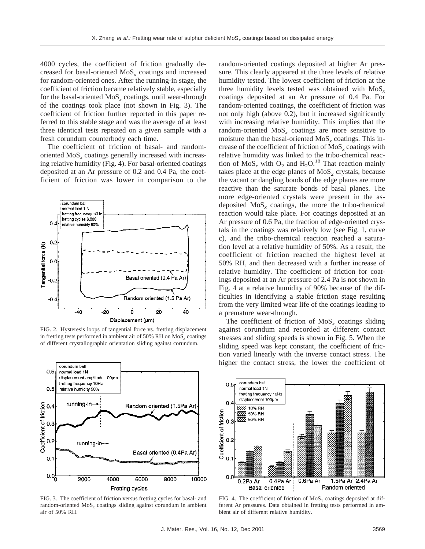4000 cycles, the coefficient of friction gradually decreased for basal-oriented MoS*<sup>x</sup>* coatings and increased for random-oriented ones. After the running-in stage, the coefficient of friction became relatively stable, especially for the basal-oriented MoS*<sup>x</sup>* coatings, until wear-through of the coatings took place (not shown in Fig. 3). The coefficient of friction further reported in this paper referred to this stable stage and was the average of at least three identical tests repeated on a given sample with a fresh corundum counterbody each time.

The coefficient of friction of basal- and randomoriented MoS<sub>x</sub> coatings generally increased with increasing relative humidity (Fig. 4). For basal-oriented coatings deposited at an Ar pressure of 0.2 and 0.4 Pa, the coefficient of friction was lower in comparison to the



FIG. 2. Hysteresis loops of tangential force vs. fretting displacement in fretting tests performed in ambient air of 50% RH on MoS<sub>x</sub> coatings of different crystallographic orientation sliding against corundum.



FIG. 3. The coefficient of friction versus fretting cycles for basal- and random-oriented MoS*<sup>x</sup>* coatings sliding against corundum in ambient air of 50% RH.

random-oriented coatings deposited at higher Ar pressure. This clearly appeared at the three levels of relative humidity tested. The lowest coefficient of friction at the three humidity levels tested was obtained with MoS*<sup>x</sup>* coatings deposited at an Ar pressure of 0.4 Pa. For random-oriented coatings, the coefficient of friction was not only high (above 0.2), but it increased significantly with increasing relative humidity. This implies that the random-oriented MoS*<sup>x</sup>* coatings are more sensitive to moisture than the basal-oriented MoS<sub>x</sub> coatings. This increase of the coefficient of friction of MoS*<sup>x</sup>* coatings with relative humidity was linked to the tribo-chemical reaction of  $MoS_x$  with  $O_2$  and  $H_2O^{18}$ . That reaction mainly takes place at the edge planes of  $MoS<sub>2</sub>$  crystals, because the vacant or dangling bonds of the edge planes are more reactive than the saturate bonds of basal planes. The more edge-oriented crystals were present in the asdeposited  $MoS<sub>x</sub>$  coatings, the more the tribo-chemical reaction would take place. For coatings deposited at an Ar pressure of 0.6 Pa, the fraction of edge-oriented crystals in the coatings was relatively low (see Fig. 1, curve c), and the tribo-chemical reaction reached a saturation level at a relative humidity of 50%. As a result, the coefficient of friction reached the highest level at 50% RH, and then decreased with a further increase of relative humidity. The coefficient of friction for coatings deposited at an Ar pressure of 2.4 Pa is not shown in Fig. 4 at a relative humidity of 90% because of the difficulties in identifying a stable friction stage resulting from the very limited wear life of the coatings leading to a premature wear-through.

The coefficient of friction of  $MoS<sub>x</sub>$  coatings sliding against corundum and recorded at different contact stresses and sliding speeds is shown in Fig. 5. When the sliding speed was kept constant, the coefficient of friction varied linearly with the inverse contact stress. The higher the contact stress, the lower the coefficient of



FIG. 4. The coefficient of friction of MoS<sub>x</sub> coatings deposited at different Ar pressures. Data obtained in fretting tests performed in ambient air of different relative humidity.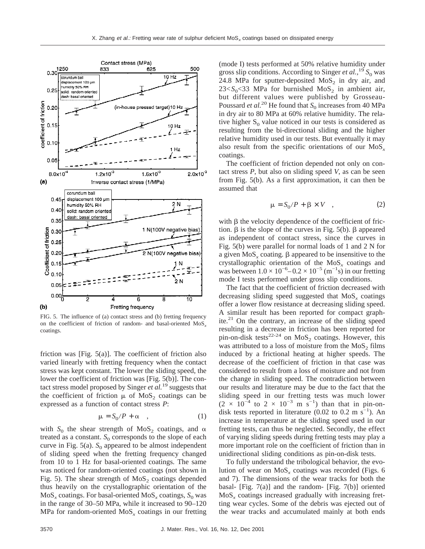

FIG. 5. The influence of (a) contact stress and (b) fretting frequency on the coefficient of friction of random- and basal-oriented MoS*<sup>x</sup>* coatings.

friction was [Fig. 5(a)]. The coefficient of friction also varied linearly with fretting frequency when the contact stress was kept constant. The lower the sliding speed, the lower the coefficient of friction was [Fig. 5(b)]. The contact stress model proposed by Singer *et al.*<sup>19</sup> suggests that the coefficient of friction  $\mu$  of MoS<sub>2</sub> coatings can be expressed as a function of contact stress *P*:

$$
\mu = S_0 / P + \alpha \quad , \tag{1}
$$

with  $S_0$  the shear strength of MoS<sub>2</sub> coatings, and  $\alpha$ treated as a constant.  $S_0$  corresponds to the slope of each curve in Fig.  $5(a)$ .  $S_0$  appeared to be almost independent of sliding speed when the fretting frequency changed from 10 to 1 Hz for basal-oriented coatings. The same was noticed for random-oriented coatings (not shown in Fig. 5). The shear strength of  $MoS<sub>2</sub>$  coatings depended thus heavily on the crystallographic orientation of the  $MoS<sub>x</sub>$  coatings. For basal-oriented  $MoS<sub>x</sub>$  coatings,  $S<sub>0</sub>$  was in the range of 30–50 MPa, while it increased to 90–120 MPa for random-oriented  $MoS<sub>x</sub>$  coatings in our fretting

(mode I) tests performed at 50% relative humidity under gross slip conditions. According to Singer *et al.*,<sup>19</sup>  $S_0$  was 24.8 MPa for sputter-deposited  $MoS<sub>2</sub>$  in dry air, and  $23 < S<sub>0</sub> < 33$  MPa for burnished MoS<sub>2</sub> in ambient air, but different values were published by Grosseau-Poussard *et al.*<sup>20</sup> He found that  $S_0$  increases from 40 MPa in dry air to 80 MPa at 60% relative humidity. The relative higher  $S_0$  value noticed in our tests is considered as resulting from the bi-directional sliding and the higher relative humidity used in our tests. But eventually it may also result from the specific orientations of our MoS*<sup>x</sup>* coatings.

The coefficient of friction depended not only on contact stress *P*, but also on sliding speed *V*, as can be seen from Fig. 5(b). As a first approximation, it can then be assumed that

$$
\mu = S_0 / P + \beta \times V \quad , \tag{2}
$$

with  $\beta$  the velocity dependence of the coefficient of friction.  $\beta$  is the slope of the curves in Fig. 5(b).  $\beta$  appeared as independent of contact stress, since the curves in Fig. 5(b) were parallel for normal loads of 1 and 2 N for a given  $MoS<sub>x</sub>$  coating.  $\beta$  appeared to be insensitive to the crystallographic orientation of the MoS*<sup>x</sup>* coatings and was between  $1.0 \times 10^{-6} - 0.2 \times 10^{-5}$  (m<sup>-1</sup>s) in our fretting mode I tests performed under gross slip conditions.

The fact that the coefficient of friction decreased with decreasing sliding speed suggested that MoS*<sup>x</sup>* coatings offer a lower flow resistance at decreasing sliding speed. A similar result has been reported for compact graphite. $21$  On the contrary, an increase of the sliding speed resulting in a decrease in friction has been reported for pin-on-disk tests<sup>22-24</sup> on  $MoS<sub>2</sub>$  coatings. However, this was attributed to a loss of moisture from the  $MoS<sub>2</sub>$  films induced by a frictional heating at higher speeds. The decrease of the coefficient of friction in that case was considered to result from a loss of moisture and not from the change in sliding speed. The contradiction between our results and literature may be due to the fact that the sliding speed in our fretting tests was much lower  $(2 \times 10^{-4}$  to  $2 \times 10^{-3}$  m s<sup>-1</sup>) than that in pin-ondisk tests reported in literature (0.02 to 0.2 m s<sup>-1</sup>). An increase in temperature at the sliding speed used in our fretting tests, can thus be neglected. Secondly, the effect of varying sliding speeds during fretting tests may play a more important role on the coefficient of friction than in unidirectional sliding conditions as pin-on-disk tests.

To fully understand the tribological behavior, the evolution of wear on MoS*<sup>x</sup>* coatings was recorded (Figs. 6 and 7). The dimensions of the wear tracks for both the basal- [Fig. 7(a)] and the random- [Fig. 7(b)] oriented MoS*<sup>x</sup>* coatings increased gradually with increasing fretting wear cycles. Some of the debris was ejected out of the wear tracks and accumulated mainly at both ends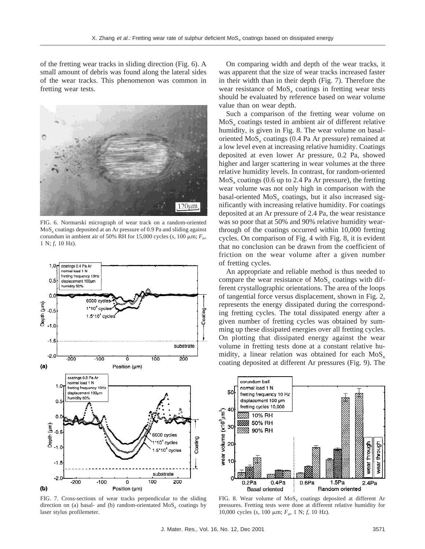of the fretting wear tracks in sliding direction (Fig. 6). A small amount of debris was found along the lateral sides of the wear tracks. This phenomenon was common in fretting wear tests.



FIG. 6. Normarski micrograph of wear track on a random-oriented  $MoS<sub>x</sub>$  coatings deposited at an Ar pressure of 0.9 Pa and sliding against corundum in ambient air of 50% RH for 15,000 cycles ( $s$ , 100  $\mu$ m;  $F_n$ , 1 N; *f,* 10 Hz).



FIG. 7. Cross-sections of wear tracks perpendicular to the sliding direction on (a) basal- and (b) random-orientated MoS*<sup>x</sup>* coatings by laser stylus profilemeter.

On comparing width and depth of the wear tracks, it was apparent that the size of wear tracks increased faster in their width than in their depth (Fig. 7). Therefore the wear resistance of  $MoS<sub>x</sub>$  coatings in fretting wear tests should be evaluated by reference based on wear volume value than on wear depth.

Such a comparison of the fretting wear volume on MoS*<sup>x</sup>* coatings tested in ambient air of different relative humidity, is given in Fig. 8. The wear volume on basaloriented MoS*<sup>x</sup>* coatings (0.4 Pa Ar pressure) remained at a low level even at increasing relative humidity. Coatings deposited at even lower Ar pressure, 0.2 Pa, showed higher and larger scattering in wear volumes at the three relative humidity levels. In contrast, for random-oriented MoS*<sup>x</sup>* coatings (0.6 up to 2.4 Pa Ar pressure), the fretting wear volume was not only high in comparison with the basal-oriented MoS*<sup>x</sup>* coatings, but it also increased significantly with increasing relative humidity. For coatings deposited at an Ar pressure of 2.4 Pa, the wear resistance was so poor that at 50% and 90% relative humidity wearthrough of the coatings occurred within 10,000 fretting cycles. On comparison of Fig. 4 with Fig. 8, it is evident that no conclusion can be drawn from the coefficient of friction on the wear volume after a given number of fretting cycles.

An appropriate and reliable method is thus needed to compare the wear resistance of MoS<sub>x</sub> coatings with different crystallographic orientations. The area of the loops of tangential force versus displacement, shown in Fig. 2, represents the energy dissipated during the corresponding fretting cycles. The total dissipated energy after a given number of fretting cycles was obtained by summing up these dissipated energies over all fretting cycles. On plotting that dissipated energy against the wear volume in fretting tests done at a constant relative humidity, a linear relation was obtained for each MoS*<sup>x</sup>* coating deposited at different Ar pressures (Fig. 9). The



FIG. 8. Wear volume of MoS*<sup>x</sup>* coatings deposited at different Ar pressures. Fretting tests were done at different relative humidity for 10,000 cycles (*s*, 100 μm; *F*<sub>n</sub>, 1 N; *f*, 10 Hz).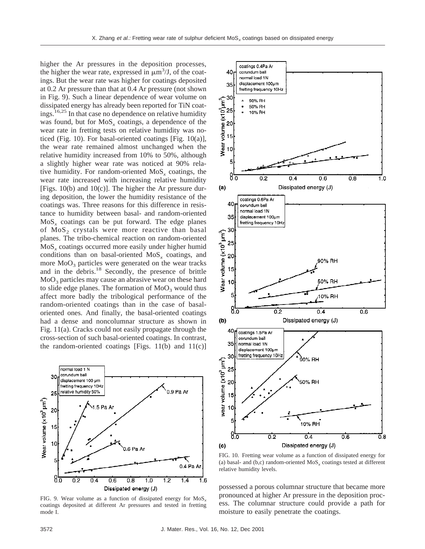higher the Ar pressures in the deposition processes, the higher the wear rate, expressed in  $\mu$ m<sup>3</sup>/J, of the coatings. But the wear rate was higher for coatings deposited at 0.2 Ar pressure than that at 0.4 Ar pressure (not shown in Fig. 9). Such a linear dependence of wear volume on dissipated energy has already been reported for TiN coatings.16,25 In that case no dependence on relative humidity was found, but for MoS<sub>x</sub> coatings, a dependence of the wear rate in fretting tests on relative humidity was noticed (Fig. 10). For basal-oriented coatings [Fig. 10(a)], the wear rate remained almost unchanged when the relative humidity increased from 10% to 50%, although a slightly higher wear rate was noticed at 90% relative humidity. For random-oriented  $MoS<sub>x</sub>$  coatings, the wear rate increased with increasing relative humidity [Figs.  $10(b)$  and  $10(c)$ ]. The higher the Ar pressure during deposition, the lower the humidity resistance of the coatings was. Three reasons for this difference in resistance to humidity between basal- and random-oriented MoS*<sup>x</sup>* coatings can be put forward. The edge planes of  $MoS<sub>2</sub>$  crystals were more reactive than basal planes. The tribo-chemical reaction on random-oriented MoS*<sup>x</sup>* coatings occurred more easily under higher humid conditions than on basal-oriented MoS*<sup>x</sup>* coatings, and more  $MoO<sub>3</sub>$  particles were generated on the wear tracks and in the debris.<sup>18</sup> Secondly, the presence of brittle  $MoO<sub>3</sub>$  particles may cause an abrasive wear on these hard to slide edge planes. The formation of  $MoO<sub>3</sub>$  would thus affect more badly the tribological performance of the random-oriented coatings than in the case of basaloriented ones. And finally, the basal-oriented coatings had a dense and noncolumnar structure as shown in Fig. 11(a). Cracks could not easily propagate through the cross-section of such basal-oriented coatings. In contrast, the random-oriented coatings [Figs.  $11(b)$  and  $11(c)$ ]



FIG. 9. Wear volume as a function of dissipated energy for MoS*<sup>x</sup>* coatings deposited at different Ar pressures and tested in fretting mode I.



FIG. 10. Fretting wear volume as a function of dissipated energy for (a) basal- and (b,c) random-oriented  $MoS<sub>x</sub>$  coatings tested at different relative humidity levels.

possessed a porous columnar structure that became more pronounced at higher Ar pressure in the deposition process. The columnar structure could provide a path for moisture to easily penetrate the coatings.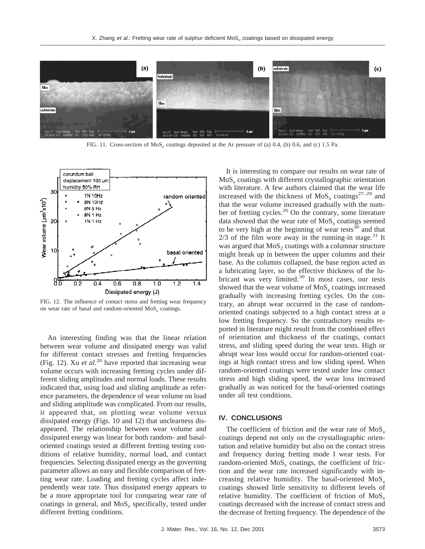

FIG. 11. Cross-section of MoS*<sup>x</sup>* coatings deposited at the Ar pressure of (a) 0.4, (b) 0.6, and (c) 1.5 Pa.



FIG. 12. The influence of contact stress and fretting wear frequency on wear rate of basal and random-oriented MoS*<sup>x</sup>* coatings.

An interesting finding was that the linear relation between wear volume and dissipated energy was valid for different contact stresses and fretting frequencies (Fig. 12). Xu *et al.*<sup>26</sup> have reported that increasing wear volume occurs with increasing fretting cycles under different sliding amplitudes and normal loads. These results indicated that, using load and sliding amplitude as reference parameters, the dependence of wear volume on load and sliding amplitude was complicated. From our results, it appeared that, on plotting wear volume versus dissipated energy (Figs. 10 and 12) that unclearness disappeared. The relationship between wear volume and dissipated energy was linear for both random- and basaloriented coatings tested at different fretting testing conditions of relative humidity, normal load, and contact frequencies. Selecting dissipated energy as the governing parameter allows an easy and flexible comparison of fretting wear rate. Loading and fretting cycles affect independently wear rate. Thus dissipated energy appears to be a more appropriate tool for comparing wear rate of coatings in general, and MoS*<sup>x</sup>* specifically, tested under different fretting conditions.

It is interesting to compare our results on wear rate of MoS*<sup>x</sup>* coatings with different crystallographic orientation with literature. A few authors claimed that the wear life increased with the thickness of  $MoS<sub>x</sub>$  coatings<sup>27–29</sup> and that the wear volume increased gradually with the number of fretting cycles.<sup>26</sup> On the contrary, some literature data showed that the wear rate of MoS<sub>x</sub> coatings seemed to be very high at the beginning of wear tests $30$  and that  $2/3$  of the film wore away in the running-in stage.<sup>31</sup> It was argued that  $MoS<sub>2</sub>$  coatings with a columnar structure might break up in between the upper columns and their base. As the columns collapsed, the base region acted as a lubricating layer, so the effective thickness of the lubricant was very limited.<sup>30</sup> In most cases, our tests showed that the wear volume of MoS<sub>x</sub> coatings increased gradually with increasing fretting cycles. On the contrary, an abrupt wear occurred in the case of randomoriented coatings subjected to a high contact stress at a low fretting frequency. So the contradictory results reported in literature might result from the combined effect of orientation and thickness of the coatings, contact stress, and sliding speed during the wear tests. High or abrupt wear loss would occur for random-oriented coatings at high contact stress and low sliding speed. When random-oriented coatings were tested under low contact stress and high sliding speed, the wear loss increased gradually as was noticed for the basal-oriented coatings under all test conditions.

# **IV. CONCLUSIONS**

The coefficient of friction and the wear rate of  $MoS<sub>r</sub>$ coatings depend not only on the crystallographic orientation and relative humidity but also on the contact stress and frequency during fretting mode I wear tests. For random-oriented MoS*<sup>x</sup>* coatings, the coefficient of friction and the wear rate increased significantly with increasing relative humidity. The basal-oriented MoS*<sup>x</sup>* coatings showed little sensitivity to different levels of relative humidity. The coefficient of friction of MoS*<sup>x</sup>* coatings decreased with the increase of contact stress and the decrease of fretting frequency. The dependence of the